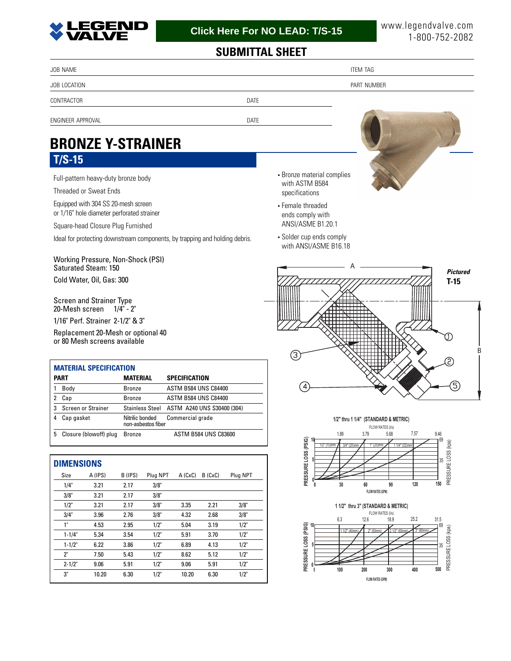

## **SUBMITTAL SHEET**

| JOB NAME                                                                          |                                                                | <b>ITEM TAG</b> |
|-----------------------------------------------------------------------------------|----------------------------------------------------------------|-----------------|
| JOB LOCATION                                                                      |                                                                | PART NUMBER     |
| CONTRACTOR<br><b>DATE</b>                                                         |                                                                |                 |
| ENGINEER APPROVAL<br>DATE                                                         |                                                                |                 |
| <b>BRONZE Y-STRAINER</b>                                                          |                                                                |                 |
| $T/S-15$                                                                          |                                                                |                 |
| Full-pattern heavy-duty bronze body<br>Threaded or Sweat Ends                     | • Bronze material complies<br>with ASTM B584<br>specifications |                 |
| Equipped with 304 SS 20-mesh screen<br>or 1/16" hole diameter perforated strainer | • Female threaded<br>ends comply with                          |                 |
| Square-head Closure Plug Furnished                                                | ANSI/ASME B1.20.1                                              |                 |
| Ideal for protecting downstream components, by trapping and holding debris.       | • Solder cup ends comply<br>with ANSI/ASME B16.18              |                 |

Working Pressure, Non-Shock (PSI) Saturated Steam: 150 Cold Water, Oil, Gas: 300

Screen and Strainer Type 20-Mesh screen 1/4" - 2"

1/16" Perf. Strainer 2-1/2" & 3"

Replacement 20-Mesh or optional 40 or 80 Mesh screens available

| <b>MATERIAL SPECIFICATION</b> |                        |                                       |                                            |  |  |  |  |  |  |
|-------------------------------|------------------------|---------------------------------------|--------------------------------------------|--|--|--|--|--|--|
| <b>PART</b>                   |                        | <b>MATERIAL</b>                       | SPECIFICATION                              |  |  |  |  |  |  |
|                               | Body                   | <b>Bronze</b>                         | <b>ASTM B584 UNS C84400</b>                |  |  |  |  |  |  |
|                               | Cap                    | <b>Bronze</b>                         | <b>ASTM B584 UNS C84400</b>                |  |  |  |  |  |  |
| 3                             | Screen or Strainer     |                                       | Stainless Steel ASTM A240 UNS S30400 (304) |  |  |  |  |  |  |
| 4                             | Cap gasket             | Nitrilic bonded<br>non-asbestos fiber | Commercial grade                           |  |  |  |  |  |  |
| 5                             | Closure (blowoff) plug | <b>Bronze</b>                         | <b>ASTM B584 UNS C83600</b>                |  |  |  |  |  |  |

| <b>DIMENSIONS</b> |         |         |          |         |         |          |  |  |  |  |
|-------------------|---------|---------|----------|---------|---------|----------|--|--|--|--|
| Size              | A (IPS) | B (IPS) | Plug NPT | A (CxC) | B (CxC) | Plug NPT |  |  |  |  |
| 1/4"              | 3.21    | 2.17    | 3/8"     |         |         |          |  |  |  |  |
| 3/8"              | 3.21    | 2.17    | 3/8"     |         |         |          |  |  |  |  |
| 1/2"              | 3.21    | 2.17    | 3/8"     | 3.35    | 2.21    | 3/8"     |  |  |  |  |
| 3/4"              | 3.96    | 2.76    | 3/8"     | 4.32    | 2.68    | 3/8"     |  |  |  |  |
| 1"                | 4.53    | 2.95    | 1/2"     | 5.04    | 3.19    | 1/2"     |  |  |  |  |
| $1 - 1/4"$        | 5.34    | 3.54    | 1/2"     | 5.91    | 3.70    | 1/2"     |  |  |  |  |
| $1 - 1/2"$        | 6.22    | 3.86    | 1/2"     | 6.89    | 4.13    | 1/2"     |  |  |  |  |
| 2"                | 7.50    | 5.43    | 1/2"     | 8.62    | 5.12    | 1/2"     |  |  |  |  |
| $2 - 1/2"$        | 9.06    | 5.91    | 1/2"     | 9.06    | 5.91    | 1/2"     |  |  |  |  |
| 3"                | 10.20   | 6.30    | 1/2"     | 10.20   | 6.30    | 1/2"     |  |  |  |  |



**1/2" thru 1 1/4" (STANDARD & METRIC)**